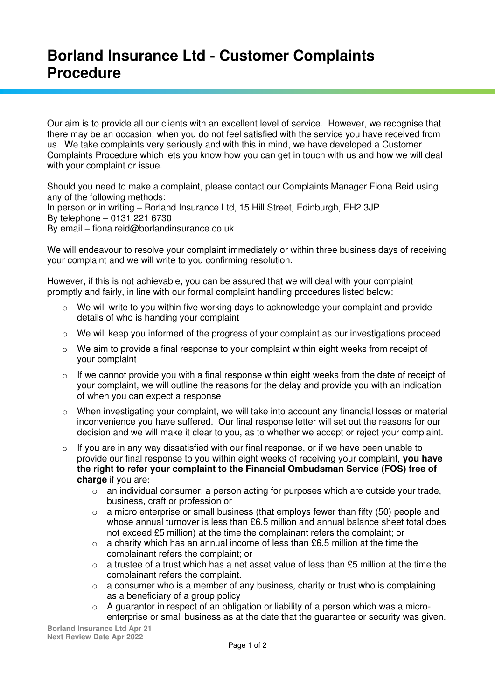## **Borland Insurance Ltd - Customer Complaints Procedure**

Our aim is to provide all our clients with an excellent level of service. However, we recognise that there may be an occasion, when you do not feel satisfied with the service you have received from us. We take complaints very seriously and with this in mind, we have developed a Customer Complaints Procedure which lets you know how you can get in touch with us and how we will deal with your complaint or issue.

Should you need to make a complaint, please contact our Complaints Manager Fiona Reid using any of the following methods: In person or in writing – Borland Insurance Ltd, 15 Hill Street, Edinburgh, EH2 3JP

By telephone – 0131 221 6730

By email – fiona.reid@borlandinsurance.co.uk

We will endeavour to resolve your complaint immediately or within three business days of receiving your complaint and we will write to you confirming resolution.

However, if this is not achievable, you can be assured that we will deal with your complaint promptly and fairly, in line with our formal complaint handling procedures listed below:

- $\circ$  We will write to you within five working days to acknowledge your complaint and provide details of who is handing your complaint
- $\circ$  We will keep you informed of the progress of your complaint as our investigations proceed
- $\circ$  We aim to provide a final response to your complaint within eight weeks from receipt of your complaint
- $\circ$  If we cannot provide you with a final response within eight weeks from the date of receipt of your complaint, we will outline the reasons for the delay and provide you with an indication of when you can expect a response
- o When investigating your complaint, we will take into account any financial losses or material inconvenience you have suffered. Our final response letter will set out the reasons for our decision and we will make it clear to you, as to whether we accept or reject your complaint.
- $\circ$  If you are in any way dissatisfied with our final response, or if we have been unable to provide our final response to you within eight weeks of receiving your complaint, **you have the right to refer your complaint to the Financial Ombudsman Service (FOS) free of**  charge if you are:
	- $\circ$  an individual consumer; a person acting for purposes which are outside your trade, business, craft or profession or
	- $\circ$  a micro enterprise or small business (that employs fewer than fifty (50) people and whose annual turnover is less than £6.5 million and annual balance sheet total does not exceed £5 million) at the time the complainant refers the complaint; or
	- $\circ$  a charity which has an annual income of less than £6.5 million at the time the complainant refers the complaint; or
	- $\circ$  a trustee of a trust which has a net asset value of less than £5 million at the time the complainant refers the complaint.
	- $\circ$  a consumer who is a member of any business, charity or trust who is complaining as a beneficiary of a group policy
	- o A guarantor in respect of an obligation or liability of a [person](https://www.handbook.fca.org.uk/handbook/glossary/G869.html?date=2019-04-02) which was a [micro](https://www.handbook.fca.org.uk/handbook/glossary/G2623.html?date=2019-04-02)[enterprise](https://www.handbook.fca.org.uk/handbook/glossary/G2623.html?date=2019-04-02) or [small business](https://www.handbook.fca.org.uk/handbook/glossary/G1095.html?date=2019-04-02) as at the date that the guarantee or security was given.

**Borland Insurance Ltd Apr 21 Next Review Date Apr 2022**